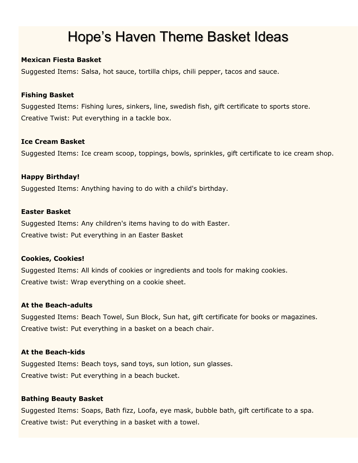# Hope's Haven Theme Basket Ideas

# **Mexican Fiesta Basket**

Suggested Items: Salsa, hot sauce, tortilla chips, chili pepper, tacos and sauce.

# **Fishing Basket**

Suggested Items: Fishing lures, sinkers, line, swedish fish, gift certificate to sports store. Creative Twist: Put everything in a tackle box.

# **Ice Cream Basket**

Suggested Items: Ice cream scoop, toppings, bowls, sprinkles, gift certificate to ice cream shop.

# **Happy Birthday!**

Suggested Items: Anything having to do with a child's birthday.

# **Easter Basket**

Suggested Items: Any children's items having to do with Easter. Creative twist: Put everything in an Easter Basket

# **Cookies, Cookies!**

Suggested Items: All kinds of cookies or ingredients and tools for making cookies. Creative twist: Wrap everything on a cookie sheet.

# **At the Beach-adults**

Suggested Items: Beach Towel, Sun Block, Sun hat, gift certificate for books or magazines. Creative twist: Put everything in a basket on a beach chair.

# **At the Beach-kids**

Suggested Items: Beach toys, sand toys, sun lotion, sun glasses. Creative twist: Put everything in a beach bucket.

# **Bathing Beauty Basket**

Suggested Items: Soaps, Bath fizz, Loofa, eye mask, bubble bath, gift certificate to a spa. Creative twist: Put everything in a basket with a towel.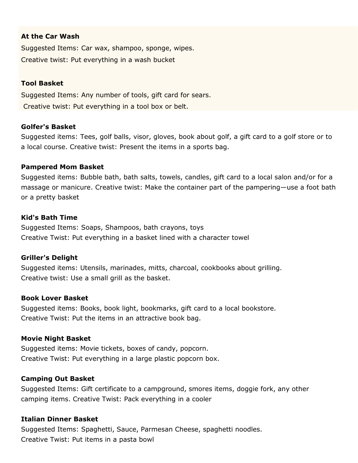# **At the Car Wash**

Suggested Items: Car wax, shampoo, sponge, wipes. Creative twist: Put everything in a wash bucket

#### **Tool Basket**

Suggested Items: Any number of tools, gift card for sears. Creative twist: Put everything in a tool box or belt.

#### **Golfer's Basket**

Suggested items: Tees, golf balls, visor, gloves, book about golf, a gift card to a golf store or to a local course. Creative twist: Present the items in a sports bag.

#### **Pampered Mom Basket**

Suggested items: Bubble bath, bath salts, towels, candles, gift card to a local salon and/or for a massage or manicure. Creative twist: Make the container part of the pampering—use a foot bath or a pretty basket

#### **Kid's Bath Time**

Suggested Items: Soaps, Shampoos, bath crayons, toys Creative Twist: Put everything in a basket lined with a character towel

#### **Griller's Delight**

Suggested items: Utensils, marinades, mitts, charcoal, cookbooks about grilling. Creative twist: Use a small grill as the basket.

#### **Book Lover Basket**

Suggested items: Books, book light, bookmarks, gift card to a local bookstore. Creative Twist: Put the items in an attractive book bag.

#### **Movie Night Basket**

Suggested items: Movie tickets, boxes of candy, popcorn. Creative Twist: Put everything in a large plastic popcorn box.

#### **Camping Out Basket**

Suggested Items: Gift certificate to a campground, smores items, doggie fork, any other camping items. Creative Twist: Pack everything in a cooler

#### **Italian Dinner Basket**

Suggested Items: Spaghetti, Sauce, Parmesan Cheese, spaghetti noodles. Creative Twist: Put items in a pasta bowl